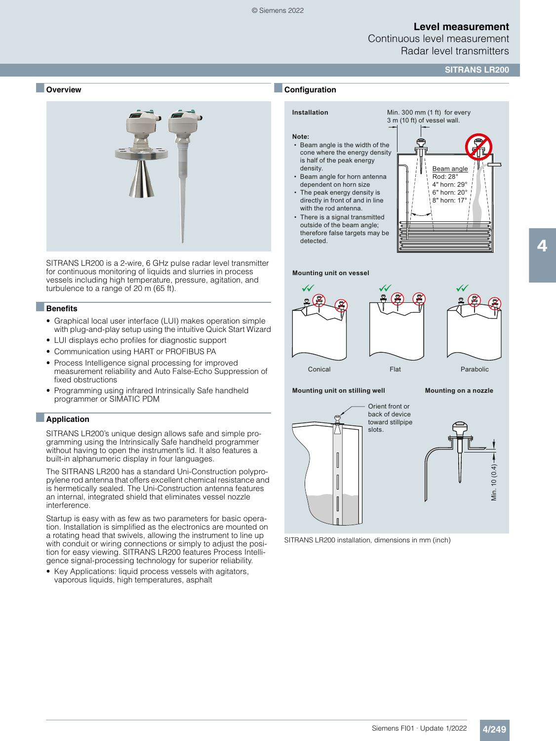Continuous level measurement Radar level transmitters

#### **SITRANS LR200**

#### ■ **Overview**



SITRANS LR200 is a 2-wire, 6 GHz pulse radar level transmitter for continuous monitoring of liquids and slurries in process vessels including high temperature, pressure, agitation, and turbulence to a range of 20 m (65 ft).

#### ■**Benefits**

- Graphical local user interface (LUI) makes operation simple with plug-and-play setup using the intuitive Quick Start Wizard
- LUI displays echo profiles for diagnostic support
- Communication using HART or PROFIBUS PA
- Process Intelligence signal processing for improved measurement reliability and Auto False-Echo Suppression of fixed obstructions
- Programming using infrared Intrinsically Safe handheld programmer or SIMATIC PDM

#### ■**Application**

SITRANS LR200's unique design allows safe and simple programming using the Intrinsically Safe handheld programmer without having to open the instrument's lid. It also features a built-in alphanumeric display in four languages.

The SITRANS LR200 has a standard Uni-Construction polypropylene rod antenna that offers excellent chemical resistance and is hermetically sealed. The Uni-Construction antenna features an internal, integrated shield that eliminates vessel nozzle interference.

Startup is easy with as few as two parameters for basic operation. Installation is simplified as the electronics are mounted on a rotating head that swivels, allowing the instrument to line up with conduit or wiring connections or simply to adjust the position for easy viewing. SITRANS LR200 features Process Intelligence signal-processing technology for superior reliability.

• Key Applications: liquid process vessels with agitators, vaporous liquids, high temperatures, asphalt

## ■**Configuration**

## **Installation**

**Note:**

Min. 300 mm (1 ft) for every 3 m (10 ft) of vessel wall.

- Beam angle is the width of the cone where the energy density is half of the peak energy density.
- Beam angle for horn antenna dependent on horn size
- The peak energy density is directly in front of and in line with the rod antenna. •
- There is a signal transmitted outside of the beam angle; therefore false targets may be detected.







**Mounting unit on stilling well Mounting on a nozzle**

Orient front or back of device toward stillpipe slots.





4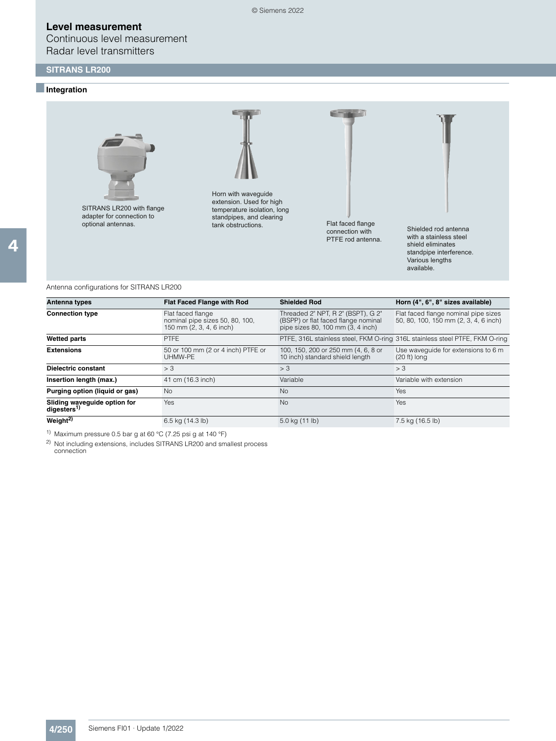## **SITRANS LR200**

### ■**Integration**



SITRANS LR200 with flange adapter for connection to optional antennas.



Horn with waveguide extension. Used for high temperature isolation, long standpipes, and clearing tank obstructions. That faced flange



connection with PTFE rod antenna.



Shielded rod antenna with a stainless steel shield eliminates standpipe interference. Various lengths available.

Antenna configurations for SITRANS LR200

| Antenna types                                           | <b>Flat Faced Flange with Rod</b>                                                | <b>Shielded Rod</b>                                                                                            | Horn (4", 6", 8" sizes available)                                             |
|---------------------------------------------------------|----------------------------------------------------------------------------------|----------------------------------------------------------------------------------------------------------------|-------------------------------------------------------------------------------|
| <b>Connection type</b>                                  | Flat faced flange<br>nominal pipe sizes 50, 80, 100,<br>150 mm (2, 3, 4, 6 inch) | Threaded 2" NPT, R 2" (BSPT), G 2"<br>(BSPP) or flat faced flange nominal<br>pipe sizes 80, 100 mm (3, 4 inch) | Flat faced flange nominal pipe sizes<br>50, 80, 100, 150 mm (2, 3, 4, 6 inch) |
| <b>Wetted parts</b>                                     | <b>PTFE</b>                                                                      |                                                                                                                | PTFE, 316L stainless steel, FKM O-ring 316L stainless steel PTFE, FKM O-ring  |
| <b>Extensions</b>                                       | 50 or 100 mm (2 or 4 inch) PTFE or<br>UHMW-PE                                    | 100, 150, 200 or 250 mm (4, 6, 8 or<br>10 inch) standard shield length                                         | Use wavequide for extensions to 6 m<br>$(20 ft)$ long                         |
| Dielectric constant                                     | > 3                                                                              | > 3                                                                                                            | > 3                                                                           |
| Insertion length (max.)                                 | 41 cm (16.3 inch)                                                                | Variable                                                                                                       | Variable with extension                                                       |
| Purging option (liquid or gas)                          | <b>No</b>                                                                        | <b>No</b>                                                                                                      | Yes                                                                           |
| Sliding waveguide option for<br>digesters <sup>1)</sup> | Yes                                                                              | No                                                                                                             | Yes                                                                           |
| Weight <sup>2)</sup>                                    | 6.5 kg (14.3 lb)                                                                 | 5.0 kg (11 lb)                                                                                                 | 7.5 kg (16.5 lb)                                                              |

1) Maximum pressure 0.5 bar g at 60 °C (7.25 psi g at 140 °F)

2) Not including extensions, includes SITRANS LR200 and smallest process connection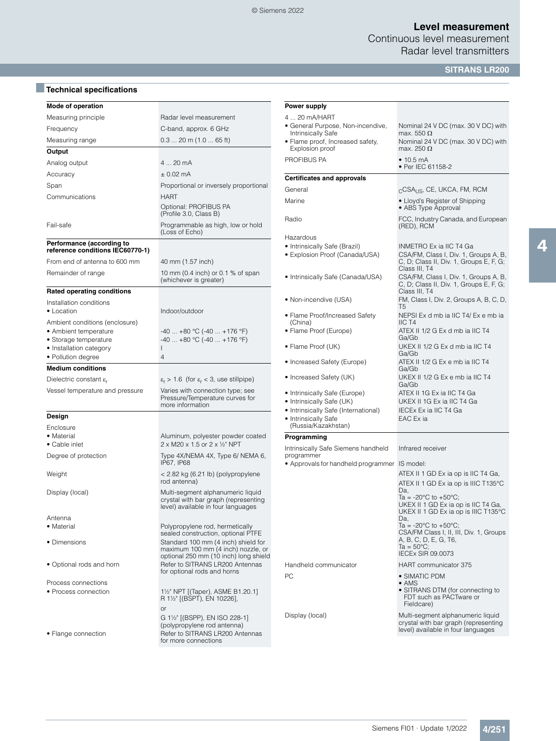Continuous level measurement Radar level transmitters

**SITRANS LR200**

| Mode of operation                            |                                                                                                                              | <b>Power supply</b>                                        |                                                                                                                 |
|----------------------------------------------|------------------------------------------------------------------------------------------------------------------------------|------------------------------------------------------------|-----------------------------------------------------------------------------------------------------------------|
| Measuring principle                          | Radar level measurement                                                                                                      | 4  20 mA/HART                                              |                                                                                                                 |
| Frequency                                    | C-band, approx. 6 GHz                                                                                                        | · General Purpose, Non-incendive,                          | Nominal 24 V DC (max. 30 V DC) with                                                                             |
| Measuring range                              | $0.3$ 20 m (1.0  65 ft)                                                                                                      | Intrinsically Safe<br>• Flame proof, Increased safety,     | max. 550 $\Omega$<br>Nominal 24 V DC (max. 30 V DC) with                                                        |
| Output                                       |                                                                                                                              | Explosion proof                                            | max. 250 $\Omega$                                                                                               |
| Analog output                                | 4  20 mA                                                                                                                     | PROFIBUS PA                                                | • 10.5 mA                                                                                                       |
| Accuracy                                     | $± 0.02$ mA                                                                                                                  |                                                            | • Per IEC 61158-2                                                                                               |
|                                              |                                                                                                                              | <b>Certificates and approvals</b>                          |                                                                                                                 |
| Span                                         | Proportional or inversely proportional                                                                                       | General                                                    | <sub>C</sub> CSA <sub>US</sub> , CE, UKCA, FM, RCM                                                              |
| Communications                               | <b>HART</b><br>Optional: PROFIBUS PA<br>(Profile 3.0, Class B)                                                               | Marine                                                     | • Lloyd's Register of Shipping<br>• ABS Type Approval                                                           |
| Fail-safe                                    | Programmable as high, low or hold<br>(Loss of Echo)                                                                          | Radio                                                      | FCC, Industry Canada, and European<br>(RED), RCM                                                                |
| Performance (according to                    |                                                                                                                              | Hazardous                                                  |                                                                                                                 |
| reference conditions IEC60770-1)             |                                                                                                                              | • Intrinsically Safe (Brazil)                              | INMETRO Ex ia IIC T4 Ga                                                                                         |
| From end of antenna to 600 mm                | 40 mm (1.57 inch)                                                                                                            | • Explosion Proof (Canada/USA)                             | CSA/FM, Class I, Div. 1, Groups A, B,<br>C, D; Class II, Div. 1, Groups E, F, G;<br>Class III, T4               |
| Remainder of range                           | 10 mm (0.4 inch) or 0.1 % of span<br>(whichever is greater)                                                                  | • Intrinsically Safe (Canada/USA)                          | CSA/FM, Class I, Div. 1, Groups A, B,<br>C, D; Class II, Div. 1, Groups E, F, G;                                |
| <b>Rated operating conditions</b>            |                                                                                                                              |                                                            | Class III, T4                                                                                                   |
| Installation conditions                      |                                                                                                                              | • Non-incendive (USA)                                      | FM, Class I, Div. 2, Groups A, B, C, D,<br>T <sub>5</sub>                                                       |
| • Location<br>Ambient conditions (enclosure) | Indoor/outdoor                                                                                                               | • Flame Proof/Increased Safety<br>(China)                  | NEPSI Ex d mb ia IIC T4/ Ex e mb ia<br>ICT4                                                                     |
| • Ambient temperature                        | $-40$ $+80$ °C ( $-40$ $+176$ °F)                                                                                            | • Flame Proof (Europe)                                     | ATEX II 1/2 G Ex d mb ia IIC T4                                                                                 |
| • Storage temperature                        | $-40$ $+80$ °C ( $-40$ $+176$ °F)                                                                                            |                                                            | Ga/Gb                                                                                                           |
| • Installation category                      |                                                                                                                              | • Flame Proof (UK)                                         | UKEX II 1/2 G Ex d mb ia IIC T4<br>Ga/Gb                                                                        |
| • Pollution degree                           | $\overline{4}$                                                                                                               | • Increased Safety (Europe)                                | ATEX II 1/2 G Ex e mb ia IIC T4                                                                                 |
| <b>Medium conditions</b>                     |                                                                                                                              |                                                            | Ga/Gb                                                                                                           |
| Dielectric constant $\varepsilon_r$          | $\varepsilon_r$ > 1.6 (for $\varepsilon_r$ < 3, use stillpipe)                                                               | • Increased Safety (UK)                                    | UKEX II 1/2 G Ex e mb ia IIC T4<br>Ga/Gb                                                                        |
| Vessel temperature and pressure              | Varies with connection type; see<br>Pressure/Temperature curves for<br>more information                                      | • Intrinsically Safe (Europe)<br>• Intrinsically Safe (UK) | ATEX II 1G Ex ia IIC T4 Ga<br>UKEX II 1G Ex ia IIC T4 Ga                                                        |
|                                              |                                                                                                                              | • Intrinsically Safe (International)                       | IECEx Ex ia IIC T4 Ga                                                                                           |
| Design                                       |                                                                                                                              | • Intrinsically Safe<br>(Russia/Kazakhstan)                | EAC Ex ia                                                                                                       |
| Enclosure<br>• Material                      | Aluminum, polyester powder coated                                                                                            |                                                            |                                                                                                                 |
| • Cable inlet                                | 2 x M20 x 1.5 or 2 x 1/2" NPT                                                                                                | Programming                                                |                                                                                                                 |
| Degree of protection                         | Type 4X/NEMA 4X, Type 6/ NEMA 6,<br>IP67, IP68                                                                               | Intrinsically Safe Siemens handheld<br>programmer          | Infrared receiver                                                                                               |
|                                              |                                                                                                                              | • Approvals for handheld programmer IS model:              | ATEX II 1 GD Ex ia op is IIC T4 Ga,                                                                             |
| Weight                                       | < 2.82 kg (6.21 lb) (polypropylene<br>rod antenna)                                                                           |                                                            | ATEX II 1 GD Ex ia op is IIIC T135°C                                                                            |
| Display (local)                              | Multi-segment alphanumeric liquid<br>crystal with bar graph (representing                                                    |                                                            | Da,<br>Ta = -20 $^{\circ}$ C to +50 $^{\circ}$ C;                                                               |
|                                              | level) available in four languages                                                                                           |                                                            | UKEX II 1 GD Ex ia op is IIC T4 Ga,<br>UKEX II 1 GD Ex ia op is IIIC T135°C                                     |
| Antenna                                      |                                                                                                                              |                                                            | Da.                                                                                                             |
| • Material                                   | Polypropylene rod, hermetically<br>sealed construction, optional PTFE                                                        |                                                            | Ta = -20 $^{\circ}$ C to +50 $^{\circ}$ C;<br>CSA/FM Class I, II, III, Div. 1, Groups                           |
| • Dimensions                                 | Standard 100 mm (4 inch) shield for<br>maximum 100 mm (4 inch) nozzle, or                                                    |                                                            | A, B, C, D, E, G, T6,<br>Ta = $50^{\circ}$ C;<br><b>IECEx SIR 09.0073</b>                                       |
|                                              | optional 250 mm (10 inch) long shield                                                                                        |                                                            |                                                                                                                 |
| • Optional rods and horn                     | Refer to SITRANS LR200 Antennas<br>for optional rods and horns                                                               | Handheld communicator                                      | HART communicator 375                                                                                           |
| Process connections                          |                                                                                                                              | PC                                                         | • SIMATIC PDM<br>$\bullet$ AMS                                                                                  |
| • Process connection                         | 1 <sup>1</sup> / <sub>2</sub> " NPT [(Taper), ASME B1.20.1]<br>R 1½" [(BSPT), EN 10226],                                     |                                                            | • SITRANS DTM (for connecting to<br>FDT such as PACTware or<br>Fieldcare)                                       |
| • Flange connection                          | or<br>G 1½" [(BSPP), EN ISO 228-1]<br>(polypropylene rod antenna)<br>Refer to SITRANS LR200 Antennas<br>for more connections | Display (local)                                            | Multi-segment alphanumeric liquid<br>crystal with bar graph (representing<br>level) available in four languages |

# ■**Technical specifications**

4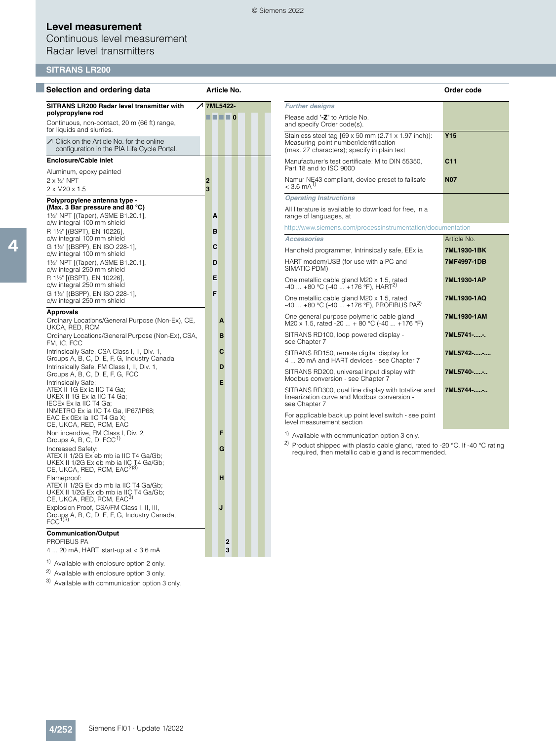© Siemens 2022

## **Level measurement**

## Continuous level measurement Radar level transmitters

## **SITRANS LR200**

| Selection and ordering data                                                                                                                                                              | Article No.                                                 |                                                                                                                                                  | Order code      |
|------------------------------------------------------------------------------------------------------------------------------------------------------------------------------------------|-------------------------------------------------------------|--------------------------------------------------------------------------------------------------------------------------------------------------|-----------------|
| SITRANS LR200 Radar level transmitter with                                                                                                                                               | <b>7 7ML5422-</b>                                           | <b>Further designs</b>                                                                                                                           |                 |
| polypropylene rod<br>Continuous, non-contact, 20 m (66 ft) range,                                                                                                                        | $\blacksquare$ $\blacksquare$ $\blacksquare$ $\blacksquare$ | Please add "-Z" to Article No.<br>and specify Order code(s).                                                                                     |                 |
| for liquids and slurries.<br>7 Click on the Article No. for the online<br>configuration in the PIA Life Cycle Portal.                                                                    |                                                             | Stainless steel tag [69 x 50 mm (2.71 x 1.97 inch)]:<br>Measuring-point number/identification<br>(max. 27 characters); specify in plain text     | <b>Y15</b>      |
| <b>Enclosure/Cable inlet</b>                                                                                                                                                             |                                                             | Manufacturer's test certificate: M to DIN 55350,<br>Part 18 and to ISO 9000                                                                      | C <sub>11</sub> |
| Aluminum, epoxy painted<br>2 x 1/2" NPT<br>$2 \times M20 \times 1.5$                                                                                                                     | $\overline{2}$<br>3                                         | Namur NE43 compliant, device preset to failsafe<br>$< 3.6$ mA <sup>1)</sup>                                                                      | <b>N07</b>      |
| Polypropylene antenna type -                                                                                                                                                             |                                                             | <b>Operating Instructions</b>                                                                                                                    |                 |
| (Max. 3 Bar pressure and 80 °C)<br>11/2" NPT [(Taper), ASME B1.20.1],                                                                                                                    | A                                                           | All literature is available to download for free, in a<br>range of languages, at                                                                 |                 |
| c/w integral 100 mm shield<br>R 1½" [(BSPT), EN 10226],                                                                                                                                  | B                                                           | http://www.siemens.com/processinstrumentation/documentation                                                                                      |                 |
| c/w integral 100 mm shield                                                                                                                                                               |                                                             | <b>Accessories</b>                                                                                                                               | Article No.     |
| G 11/2" [(BSPP), EN ISO 228-1],<br>c/w integral 100 mm shield                                                                                                                            | С                                                           | Handheld programmer, Intrinsically safe, EEx ia                                                                                                  | 7ML1930-1BK     |
| 11/2" NPT [(Taper), ASME B1.20.1].<br>c/w integral 250 mm shield                                                                                                                         | D                                                           | HART modem/USB (for use with a PC and<br>SIMATIC PDM)                                                                                            | 7MF4997-1DB     |
| R 1½" [(BSPT), EN 10226],<br>c/w integral 250 mm shield                                                                                                                                  | E                                                           | One metallic cable gland M20 x 1.5, rated<br>$-40+80$ °C (-40  +176 °F), HART <sup>2)</sup>                                                      | 7ML1930-1AP     |
| G 11/2" [(BSPP), EN ISO 228-1],<br>c/w integral 250 mm shield                                                                                                                            | F                                                           | One metallic cable gland M20 x 1.5, rated<br>$-40$ $+80$ °C ( $-40$ $+176$ °F), PROFIBUS PA <sup>2)</sup>                                        | 7ML1930-1AQ     |
| <b>Approvals</b><br>Ordinary Locations/General Purpose (Non-Ex), CE,<br>UKCA, RED, RCM                                                                                                   | A                                                           | One general purpose polymeric cable gland<br>M20 x 1.5, rated -20 $\dots$ + 80 °C (-40 $\dots$ +176 °F)                                          | 7ML1930-1AM     |
| Ordinary Locations/General Purpose (Non-Ex), CSA,<br>FM, IC, FCC                                                                                                                         | B                                                           | SITRANS RD100, loop powered display -<br>see Chapter 7                                                                                           | 7ML5741--.      |
| Intrinsically Safe, CSA Class I, II, Div. 1,<br>Groups A, B, C, D, E, F, G, Industry Canada                                                                                              | C                                                           | SITRANS RD150, remote digital display for<br>4  20 mA and HART devices - see Chapter 7                                                           | 7ML5742--       |
| Intrinsically Safe, FM Class I, II, Div. 1,<br>Groups A, B, C, D, E, F, G, FCC                                                                                                           | D<br>Е                                                      | SITRANS RD200, universal input display with<br>Modbus conversion - see Chapter 7                                                                 | 7ML5740--       |
| Intrinsically Safe;<br>ATEX II 1G Ex ia IIC T4 Ga;<br>UKEX II 1G Ex ia IIC T4 Ga;<br>IECEx Ex ia IIC T4 Ga;                                                                              |                                                             | SITRANS RD300, dual line display with totalizer and<br>linearization curve and Modbus conversion -<br>see Chapter 7                              | 7ML5744--       |
| INMETRO Ex ia IIC T4 Ga, IP67/IP68;<br>EAC Ex 0Ex ia IIC T4 Ga X;<br>CE, UKCA, RED, RCM, EAC                                                                                             |                                                             | For applicable back up point level switch - see point<br>level measurement section                                                               |                 |
| Non incendive, FM Class I, Div. 2,                                                                                                                                                       | F                                                           | <sup>1)</sup> Available with communication option 3 only.                                                                                        |                 |
| Groups A, B, C, D, FCC <sup>1)</sup><br>Increased Safety:<br>ATEX II 1/2G Ex eb mb ia IIC T4 Ga/Gb;<br>UKEX II 1/2G Ex eb mb ia IIC T4 Ga/Gb;<br>CE, UKCA, RED, RCM, EAC <sup>2)3)</sup> | G                                                           | <sup>2)</sup> Product shipped with plastic cable gland, rated to -20 °C. If -40 °C rating<br>required, then metallic cable gland is recommended. |                 |
| Flameproof:<br>ATEX II 1/2G Ex db mb ia IIC T4 Ga/Gb;<br>UKEX II 1/2G Ex db mb ia IIC T4 Ga/Gb;<br>CE, UKCA, RED, RCM, EAC <sup>3)</sup>                                                 | н                                                           |                                                                                                                                                  |                 |
| Explosion Proof, CSA/FM Class I, II, III,<br>Groups A, B, C, D, E, F, G, Industry Canada,<br>FCC <sup>133</sup>                                                                          | J                                                           |                                                                                                                                                  |                 |

### **Communication/Output**

PROFIBUS PA<br>
4 ... 20 mA, HART, start-up at < 3.6 mA 4 ... 20 mA, HART, start-up at < 3.6 mA **3**

1) Available with enclosure option 2 only.

<sup>2)</sup> Available with enclosure option 3 only.

<sup>3)</sup> Available with communication option 3 only.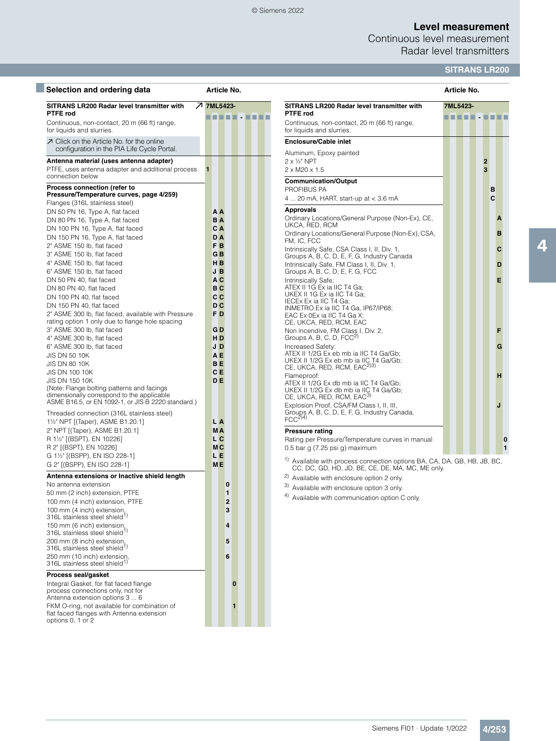### © Siemens 2022

## **Level measurement**

Continuous level measurement Radar level transmitters

## **SITRANS LR200**

| Selection and ordering data                                                              | Article No.    |                                                                                                                                         | Article No. |              |
|------------------------------------------------------------------------------------------|----------------|-----------------------------------------------------------------------------------------------------------------------------------------|-------------|--------------|
| SITRANS LR200 Radar level transmitter with<br><b>PTFE rod</b>                            | フ 7ML5423-     | SITRANS LR200 Radar level transmitter with<br>PTFE rod                                                                                  | 7ML5423-    |              |
| Continuous, non-contact, 20 m (66 ft) range,<br>for liquids and slurries.                |                | Continuous, non-contact, 20 m (66 ft) range,<br>for liquids and slurries.                                                               |             |              |
| ○ Click on the Article No. for the online<br>configuration in the PIA Life Cycle Portal. |                | <b>Enclosure/Cable inlet</b>                                                                                                            |             |              |
|                                                                                          |                | Aluminum, Epoxy painted                                                                                                                 |             |              |
| Antenna material (uses antenna adapter)                                                  |                | $2 \times \frac{1}{2}$ " NPT                                                                                                            |             | $\mathbf{2}$ |
| PTFE, uses antenna adapter and additional process<br>connection below                    |                | 2 x M20 x 1.5                                                                                                                           |             | 3            |
|                                                                                          |                | <b>Communication/Output</b>                                                                                                             |             |              |
| Process connection (refer to<br>Pressure/Temperature curves, page 4/259)                 |                | PROFIBUS PA                                                                                                                             |             | в            |
| Flanges (316L stainless steel)                                                           |                | 4  20 mA, HART, start-up at $<$ 3.6 mA                                                                                                  |             | C            |
|                                                                                          | AΑ             | <b>Approvals</b>                                                                                                                        |             |              |
| DN 50 PN 16, Type A, flat faced                                                          |                | Ordinary Locations/General Purpose (Non-Ex), CE,                                                                                        |             |              |
| DN 80 PN 16, Type A, flat faced                                                          | ΒA<br>C A      | UKCA, RED, RCM                                                                                                                          |             |              |
| DN 100 PN 16, Type A, flat faced                                                         |                | Ordinary Locations/General Purpose (Non-Ex), CSA,                                                                                       |             |              |
| DN 150 PN 16, Type A, flat faced                                                         | D A            | FM, IC, FCC                                                                                                                             |             |              |
| 2" ASME 150 lb, flat faced                                                               | F <sub>B</sub> | Intrinsically Safe, CSA Class I, II, Div. 1,                                                                                            |             |              |
| 3" ASME 150 lb, flat faced                                                               | G B            | Groups A, B, C, D, E, F, G, Industry Canada                                                                                             |             |              |
| 4" ASME 150 lb, flat faced                                                               | HB             | Intrinsically Safe, FM Class I, II, Div. 1,                                                                                             |             |              |
| 6" ASME 150 lb, flat faced                                                               | JΒ             | Groups A, B, C, D, E, F, G, FCC                                                                                                         |             |              |
| DN 50 PN 40, flat faced                                                                  | A C            | Intrinsically Safe;                                                                                                                     |             |              |
| DN 80 PN 40, flat faced                                                                  | вc             | ATEX II 1G Ex ia IIC T4 Ga;<br>UKEX II 1G Ex ia IIC T4 Ga;                                                                              |             |              |
| DN 100 PN 40, flat faced                                                                 | c c            | IECEx Ex ia IIC T4 Ga;                                                                                                                  |             |              |
| DN 150 PN 40, flat faced                                                                 | D <sub>C</sub> | INMETRO Ex ia IIC T4 Ga, IP67/IP68;                                                                                                     |             |              |
| 2" ASME 300 lb, flat faced, available with Pressure                                      | F D            | EAC Ex 0Ex ia IIC T4 Ga X;                                                                                                              |             |              |
| rating option 1 only due to flange hole spacing                                          |                | CE, UKCA, RED, RCM, EAC                                                                                                                 |             |              |
| 3" ASME 300 lb, flat faced                                                               | G D            | Non incendive, FM Class I, Div. 2,                                                                                                      |             |              |
| 4" ASME 300 lb, flat faced                                                               | H D            | Groups A, B, C, D, $FCC2$                                                                                                               |             |              |
| 6" ASME 300 lb, flat faced                                                               | JD             | Increased Safety:<br>ATEX II 1/2G Ex eb mb ia IIC T4 Ga/Gb;                                                                             |             |              |
| <b>JIS DN 50 10K</b>                                                                     | A E            | UKEX II 1/2G Ex eb mb ia IIC T4 Ga/Gb;                                                                                                  |             |              |
| <b>JIS DN 80 10K</b>                                                                     | BE             | CE, UKCA, RED, RCM, EAC <sup>2)3)</sup>                                                                                                 |             |              |
| <b>JIS DN 100 10K</b>                                                                    | C E            | Flameproof:                                                                                                                             |             |              |
| <b>JIS DN 150 10K</b>                                                                    | D E            | ATEX II 1/2G Ex db mb ia IIC T4 Ga/Gb;                                                                                                  |             |              |
| (Note: Flange bolting patterns and facings<br>dimensionally correspond to the applicable |                | UKEX II 1/2G Ex db mb ia IIC T4 Ga/Gb;                                                                                                  |             |              |
| ASME B16.5, or EN 1092-1, or JIS B 2220 standard.)                                       |                | CE, UKCA, RED, RCM, EAC3)                                                                                                               |             |              |
| Threaded connection (316L stainless steel)                                               |                | Explosion Proof, CSA/FM Class I, II, III,<br>Groups A, B, C, D, E, F, G, Industry Canada,                                               |             |              |
| 1 <sup>1</sup> / <sub>2</sub> " NPT [(Taper), ASME B1.20.1]                              | L A            | $FCC2$ <sup>4)</sup>                                                                                                                    |             |              |
| 2" NPT [(Taper), ASME B1.20.1]                                                           | MА             | <b>Pressure rating</b>                                                                                                                  |             |              |
| R 1½" [(BSPT), EN 10226]                                                                 | L C            |                                                                                                                                         |             |              |
| R 2" ((BSPT), EN 10226]                                                                  | МC             | Rating per Pressure/Temperature curves in manual<br>0.5 bar g $(7.25 \text{ psi g})$ maximum                                            |             |              |
| G 1½" [(BSPP), EN ISO 228-1]                                                             | LE             |                                                                                                                                         |             |              |
| G 2" [(BSPP), EN ISO 228-1]                                                              | <b>ME</b>      | <sup>1)</sup> Available with process connection options BA, CA, DA, GB, HB, JB, BC,<br>CC, DC, GD, HD, JD, BE, CE, DE, MA, MC, ME only. |             |              |
| Antenna extensions or Inactive shield length                                             |                | <sup>2)</sup> Available with enclosure option 2 only.                                                                                   |             |              |
| No antenna extension                                                                     | 0              | 3) Available with enclosure option 3 only.                                                                                              |             |              |
| 50 mm (2 inch) extension, PTFE                                                           | 1              |                                                                                                                                         |             |              |
| 100 mm (4 inch) extension, PTFE                                                          | 2              | <sup>4)</sup> Available with communication option C only.                                                                               |             |              |
| 100 mm (4 inch) extension,                                                               | 3              |                                                                                                                                         |             |              |
| 316L stainless steel shield <sup>1)</sup>                                                |                |                                                                                                                                         |             |              |
| 150 mm (6 inch) extension,                                                               | 4              |                                                                                                                                         |             |              |
| 316L stainless steel shield <sup>1)</sup>                                                |                |                                                                                                                                         |             |              |
| 200 mm (8 inch) extension,                                                               | 5              |                                                                                                                                         |             |              |
| 316L stainless steel shield <sup>1)</sup>                                                |                |                                                                                                                                         |             |              |
| 250 mm (10 inch) extension,<br>316L stainless steel shield <sup>1)</sup>                 | 6              |                                                                                                                                         |             |              |
| Process seal/gasket                                                                      |                |                                                                                                                                         |             |              |
| Integral Gasket, for flat faced flange                                                   | $\bf{0}$       |                                                                                                                                         |             |              |
| process connections only, not for                                                        |                |                                                                                                                                         |             |              |
| Antenna extension options 3  6                                                           |                |                                                                                                                                         |             |              |
| FKM O-ring, not available for combination of                                             | 1              |                                                                                                                                         |             |              |
| flat faced flanges with Antenna extension                                                |                |                                                                                                                                         |             |              |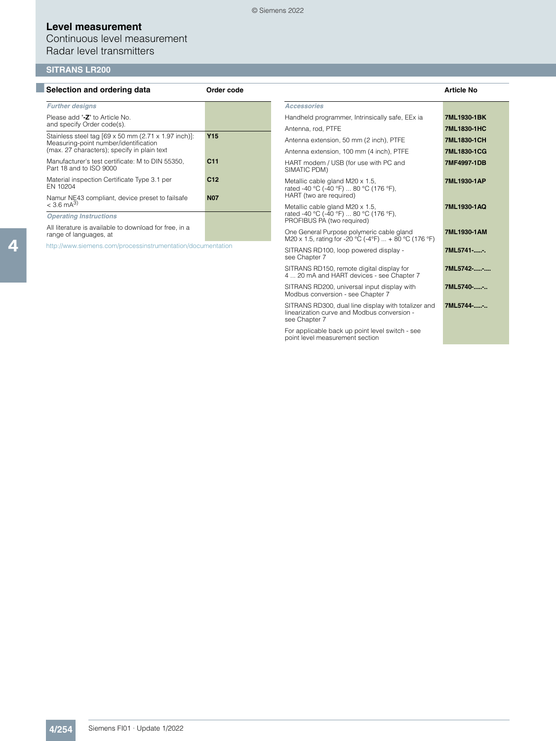Continuous level measurement Radar level transmitters

### **SITRANS LR200**

| Selection and ordering data                                                          | Order code      |                                                                                                                     | <b>Article No</b> |
|--------------------------------------------------------------------------------------|-----------------|---------------------------------------------------------------------------------------------------------------------|-------------------|
| <b>Further designs</b>                                                               |                 | <b>Accessories</b>                                                                                                  |                   |
| Please add "-Z" to Article No.<br>and specify Order code(s).                         |                 | Handheld programmer, Intrinsically safe, EEx ia                                                                     | 7ML1930-1BK       |
| Stainless steel tag [69 x 50 mm (2.71 x 1.97 inch)]:                                 | <b>Y15</b>      | Antenna, rod, PTFE                                                                                                  | 7ML1830-1HC       |
| Measuring-point number/identification<br>(max. 27 characters); specify in plain text |                 | Antenna extension, 50 mm (2 inch), PTFE                                                                             | 7ML1830-1CH       |
|                                                                                      |                 | Antenna extension, 100 mm (4 inch), PTFE                                                                            | 7ML1830-1CG       |
| Manufacturer's test certificate: M to DIN 55350,<br>Part 18 and to ISO 9000          | C <sub>11</sub> | HART modem / USB (for use with PC and<br>SIMATIC PDM)                                                               | 7MF4997-1DB       |
| Material inspection Certificate Type 3.1 per<br>EN 10204                             | C12             | Metallic cable gland M20 x 1.5,<br>rated -40 °C (-40 °F)  80 °C (176 °F).                                           | 7ML1930-1AP       |
| Namur NE43 compliant, device preset to failsafe                                      | <b>N07</b>      | HART (two are required)                                                                                             |                   |
| $<$ 3.6 mA <sup>3)</sup>                                                             |                 | Metallic cable gland M20 x 1.5,<br>rated -40 °C (-40 °F)  80 °C (176 °F),                                           | 7ML1930-1AQ       |
| <b>Operating Instructions</b>                                                        |                 | PROFIBUS PA (two required)                                                                                          |                   |
| All literature is available to download for free, in a<br>range of languages, at     |                 | One General Purpose polymeric cable gland<br>M20 x 1.5, rating for -20 °C (-4°F)  + 80 °C (176 °F)                  | 7ML1930-1AM       |
| http://www.siemens.com/processinstrumentation/documentation                          |                 | SITRANS RD100, loop powered display -<br>see Chapter 7                                                              | 7ML5741--.        |
|                                                                                      |                 | SITRANS RD150, remote digital display for<br>4  20 mA and HART devices - see Chapter 7                              | 7ML5742--         |
|                                                                                      |                 | SITRANS RD200, universal input display with<br>Modbus conversion - see Chapter 7                                    | 7ML5740--         |
|                                                                                      |                 | SITRANS RD300, dual line display with totalizer and<br>linearization curve and Modbus conversion -<br>see Chapter 7 | 7ML5744--         |

For applicable back up point level switch - see point level measurement section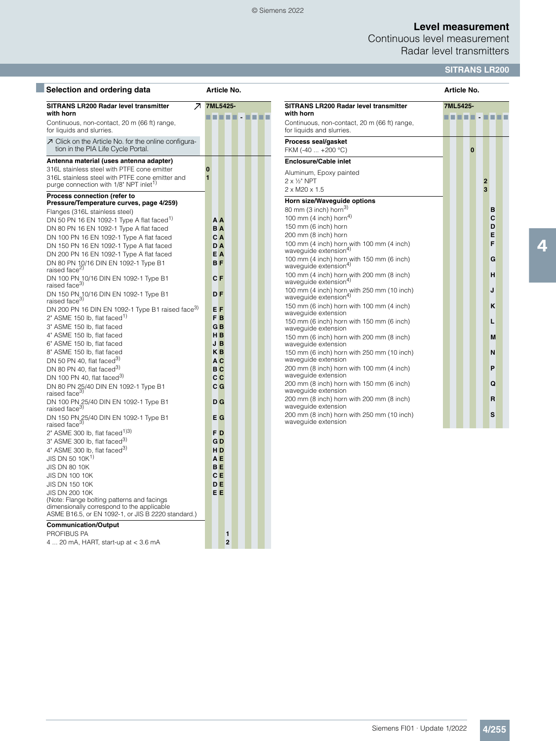### © Siemens 2022

## **Level measurement**

Continuous level measurement Radar level transmitters

## **SITRANS LR200**

| Selection and ordering data                                                                                                                          | Article No.                          |                                                                                      | Article No.                               |
|------------------------------------------------------------------------------------------------------------------------------------------------------|--------------------------------------|--------------------------------------------------------------------------------------|-------------------------------------------|
| <b>SITRANS LR200 Radar level transmitter</b><br>with horn                                                                                            | 7ML5425-<br>$\overline{\phantom{a}}$ | <b>SITRANS LR200 Radar level transmitter</b><br>with horn                            | 7ML5425-                                  |
| Continuous, non-contact, 20 m (66 ft) range,<br>for liquids and slurries.                                                                            |                                      | Continuous, non-contact, 20 m (66 ft) range,<br>for liquids and slurries.            | 11 I I                                    |
| ○ Click on the Article No. for the online configura-<br>tion in the PIA Life Cycle Portal.                                                           |                                      | Process seal/gasket<br>FKM (-40  +200 °C)                                            | $\bf{0}$                                  |
| Antenna material (uses antenna adapter)                                                                                                              |                                      | <b>Enclosure/Cable inlet</b>                                                         |                                           |
| 316L stainless steel with PTFE cone emitter<br>316L stainless steel with PTFE cone emitter and<br>purge connection with 1/8" NPT inlet <sup>1)</sup> | $\bf{0}$<br>$\blacksquare$           | Aluminum, Epoxy painted<br>$2 \times \frac{1}{2}$ " NPT<br>$2 \times M20 \times 1.5$ | $\overline{2}$<br>$\overline{\mathbf{3}}$ |
| Process connection (refer to                                                                                                                         |                                      | Horn size/Waveguide options                                                          |                                           |
| Pressure/Temperature curves, page 4/259)                                                                                                             |                                      | 80 mm (3 inch) horn $^{3)}$                                                          | в                                         |
| Flanges (316L stainless steel)                                                                                                                       |                                      | 100 mm (4 inch) horn <sup>4)</sup>                                                   | C                                         |
| DN 50 PN 16 EN 1092-1 Type A flat faced <sup>1)</sup>                                                                                                | A A                                  | 150 mm (6 inch) horn                                                                 | D                                         |
| DN 80 PN 16 EN 1092-1 Type A flat faced                                                                                                              | <b>BA</b>                            | 200 mm (8 inch) horn                                                                 | E                                         |
| DN 100 PN 16 EN 1092-1 Type A flat faced                                                                                                             | C A                                  | 100 mm (4 inch) horn with 100 mm (4 inch)                                            | F                                         |
| DN 150 PN 16 EN 1092-1 Type A flat faced                                                                                                             | DA                                   | waveguide extension <sup>4)</sup>                                                    |                                           |
| DN 200 PN 16 EN 1092-1 Type A flat faced<br>DN 80 PN 10/16 DIN EN 1092-1 Type B1                                                                     | EΑ<br><b>BF</b>                      | 100 mm (4 inch) horn with 150 mm (6 inch)<br>wavequide extension <sup>4)</sup>       | G                                         |
| raised face <sup>2)</sup><br>DN 100 PN 10/16 DIN EN 1092-1 Type B1<br>raised face <sup>3)</sup>                                                      | C F                                  | 100 mm (4 inch) horn with 200 mm (8 inch)<br>waveguide extension4)                   | н                                         |
| DN 150 PN 10/16 DIN EN 1092-1 Type B1<br>raised face <sup>3)</sup>                                                                                   | <b>DF</b>                            | 100 mm (4 inch) horn with 250 mm (10 inch)<br>wavequide extension <sup>4)</sup>      | J                                         |
| DN 200 PN 16 DIN EN 1092-1 Type B1 raised face <sup>3)</sup>                                                                                         | E F                                  | 150 mm (6 inch) horn with 100 mm (4 inch)                                            | κ                                         |
| 2" ASME 150 lb, flat faced <sup>1)</sup>                                                                                                             | F <sub>B</sub>                       | waveguide extension                                                                  |                                           |
| 3" ASME 150 lb, flat faced                                                                                                                           | G <sub>B</sub>                       | 150 mm (6 inch) horn with 150 mm (6 inch)                                            | L                                         |
| 4" ASME 150 lb, flat faced                                                                                                                           | H <sub>B</sub>                       | wavequide extension                                                                  |                                           |
| 6" ASME 150 lb, flat faced                                                                                                                           | J B                                  | 150 mm (6 inch) horn with 200 mm (8 inch)<br>waveguide extension                     | M                                         |
| 8" ASME 150 lb, flat faced                                                                                                                           | KB                                   | 150 mm (6 inch) horn with 250 mm (10 inch)                                           | N                                         |
| DN 50 PN 40, flat faced <sup>3)</sup>                                                                                                                | A C                                  | waveguide extension                                                                  |                                           |
| DN 80 PN 40. flat faced <sup>3)</sup>                                                                                                                | B <sub>C</sub>                       | 200 mm (8 inch) horn with 100 mm (4 inch)                                            | P                                         |
| DN 100 PN 40, flat faced <sup>3)</sup>                                                                                                               | c c                                  | wavequide extension                                                                  |                                           |
| DN 80 PN 25/40 DIN EN 1092-1 Type B1<br>raised face <sup>3)</sup>                                                                                    | C <sub>G</sub>                       | 200 mm (8 inch) horn with 150 mm (6 inch)<br>waveguide extension                     | Q                                         |
| DN 100 PN 25/40 DIN EN 1092-1 Type B1<br>raised face <sup>3)</sup>                                                                                   | D <sub>G</sub>                       | 200 mm (8 inch) horn with 200 mm (8 inch)<br>wavequide extension                     | R                                         |
| DN 150 PN 25/40 DIN EN 1092-1 Type B1<br>raised face <sup>3)</sup>                                                                                   | $E$ G                                | 200 mm (8 inch) horn with 250 mm (10 inch)<br>waveguide extension                    | S                                         |
| 2" ASME 300 lb, flat faced $1/3$ )                                                                                                                   | F <sub>D</sub>                       |                                                                                      |                                           |
| 3" ASME 300 lb, flat faced <sup>3)</sup>                                                                                                             | G <sub>D</sub>                       |                                                                                      |                                           |
| 4" ASME 300 lb, flat faced <sup>3)</sup>                                                                                                             | H <sub>D</sub>                       |                                                                                      |                                           |
| JIS DN 50 10K <sup>1)</sup>                                                                                                                          | A <sub>E</sub>                       |                                                                                      |                                           |
| <b>JIS DN 80 10K</b>                                                                                                                                 | <b>BE</b>                            |                                                                                      |                                           |
| JIS DN 100 10K                                                                                                                                       | C E                                  |                                                                                      |                                           |
| <b>JIS DN 150 10K</b>                                                                                                                                | <b>DE</b>                            |                                                                                      |                                           |
| <b>JIS DN 200 10K</b>                                                                                                                                | EE                                   |                                                                                      |                                           |
| (Note: Flange bolting patterns and facings                                                                                                           |                                      |                                                                                      |                                           |
| dimensionally correspond to the applicable<br>ASME B16.5, or EN 1092-1, or JIS B 2220 standard.)                                                     |                                      |                                                                                      |                                           |
| <b>Communication/Output</b>                                                                                                                          |                                      |                                                                                      |                                           |

### PROFIBUS PA **1**

4 ... 20 mA, HART, start-up at < 3.6 mA **2**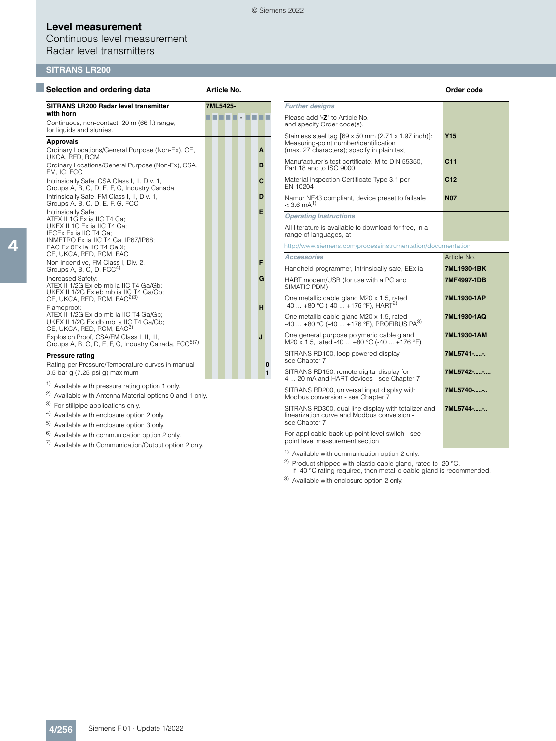Continuous level measurement Radar level transmitters

### **SITRANS LR200**

| Selection and ordering data                                                                                                        | Article No. |              |                                                                                                                                              | Order code      |
|------------------------------------------------------------------------------------------------------------------------------------|-------------|--------------|----------------------------------------------------------------------------------------------------------------------------------------------|-----------------|
| SITRANS LR200 Radar level transmitter                                                                                              | 7ML5425-    |              | <b>Further designs</b>                                                                                                                       |                 |
| with horn<br>Continuous, non-contact, 20 m (66 ft) range,<br>for liquids and slurries.                                             |             |              | Please add "-Z" to Article No.<br>and specify Order code(s).                                                                                 |                 |
| <b>Approvals</b><br>Ordinary Locations/General Purpose (Non-Ex), CE,                                                               |             | A            | Stainless steel tag [69 x 50 mm (2.71 x 1.97 inch)]:<br>Measuring-point number/identification<br>(max. 27 characters); specify in plain text | <b>Y15</b>      |
| UKCA, RED, RCM<br>Ordinary Locations/General Purpose (Non-Ex), CSA,<br>FM, IC, FCC                                                 |             | B            | Manufacturer's test certificate: M to DIN 55350,<br>Part 18 and to ISO 9000                                                                  | C <sub>11</sub> |
| Intrinsically Safe, CSA Class I, II, Div. 1,<br>Groups A, B, C, D, E, F, G, Industry Canada                                        |             | C            | Material inspection Certificate Type 3.1 per<br>EN 10204                                                                                     | C12             |
| Intrinsically Safe, FM Class I, II, Div. 1,<br>Groups A, B, C, D, E, F, G, FCC                                                     |             | D            | Namur NE43 compliant, device preset to failsafe<br>$< 3.6$ mA <sup>1)</sup>                                                                  | <b>N07</b>      |
| Intrinsically Safe:<br>ATEX II 1G Ex ia IIC T4 Ga;                                                                                 |             | Е            | <b>Operating Instructions</b>                                                                                                                |                 |
| UKEX II 1G Ex ia IIC T4 Ga;<br>IECEx Ex ia IIC T4 Ga;                                                                              |             |              | All literature is available to download for free, in a<br>range of languages, at                                                             |                 |
| INMETRO Ex ia IIC T4 Ga, IP67/IP68;<br>EAC Ex 0Ex ia IIC T4 Ga X;                                                                  |             |              | http://www.siemens.com/processinstrumentation/documentation                                                                                  |                 |
| CE, UKCA, RED, RCM, EAC                                                                                                            |             |              | <b>Accessories</b>                                                                                                                           | Article No.     |
| Non incendive, FM Class I, Div. 2,<br>Groups A, B, C, D, FCC <sup>4)</sup>                                                         |             | F            | Handheld programmer, Intrinsically safe, EEx ia                                                                                              | 7ML1930-1BK     |
| Increased Safety:<br>ATEX II 1/2G Ex eb mb ia IIC T4 Ga/Gb:                                                                        |             | G            | HART modem/USB (for use with a PC and<br>SIMATIC PDM)                                                                                        | 7MF4997-1DB     |
| UKEX II 1/2G Ex eb mb ia IIC T4 Ga/Gb;<br>CE, UKCA, RED, RCM, EAC <sup>2)3)</sup><br>Flameproof:                                   |             | н            | One metallic cable gland M20 x 1.5, rated<br>$-40$ $+80$ °C (-40 $+176$ °F), HART <sup>2)</sup>                                              | 7ML1930-1AP     |
| ATEX II 1/2G Ex db mb ia IIC T4 Ga/Gb;<br>UKEX II 1/2G Ex db mb ia IIC T4 Ga/Gb;<br>CE, UKCA, RED, RCM, EAC3)                      |             |              | One metallic cable gland M20 x 1.5, rated<br>$-40$ $+80$ °C ( $-40$ $+176$ °F), PROFIBUS PA <sup>3)</sup>                                    | 7ML1930-1AQ     |
| Explosion Proof, CSA/FM Class I, II, III,<br>Groups A, B, C, D, E, F, G, Industry Canada, FCC <sup>5)7)</sup>                      |             | J            | One general purpose polymeric cable gland<br>M20 x 1.5, rated -40  +80 °C (-40  +176 °F)                                                     | 7ML1930-1AM     |
| <b>Pressure rating</b><br>Rating per Pressure/Temperature curves in manual                                                         |             | $\bf{0}$     | SITRANS RD100, loop powered display -<br>see Chapter 7                                                                                       | 7ML5741--.      |
| 0.5 bar g $(7.25 \text{ psi g})$ maximum                                                                                           |             | $\mathbf{1}$ | SITRANS RD150, remote digital display for<br>4  20 mA and HART devices - see Chapter 7                                                       | 7ML5742--       |
| <sup>1)</sup> Available with pressure rating option 1 only.<br><sup>2)</sup> Available with Antenna Material options 0 and 1 only. |             |              | SITRANS RD200, universal input display with<br>Modbus conversion - see Chapter 7                                                             | 7ML5740--       |
| 3)<br>For stillpipe applications only.<br><sup>4)</sup> Available with enclosure option 2 only.                                    |             |              | SITRANS RD300, dual line display with totalizer and<br>linearization curve and Modbus conversion -                                           | 7ML5744--       |

- 
- 5) Available with enclosure option 3 only.
- 6) Available with communication option 2 only.
- 7) Available with Communication/Output option 2 only.

For applicable back up point level switch - see point level measurement section

see Chapter 7

1) Available with communication option 2 only.

2) Product shipped with plastic cable gland, rated to -20 °C. If -40 °C rating required, then metallic cable gland is recommended.

**7ML5742-.....-....**

3) Available with enclosure option 2 only.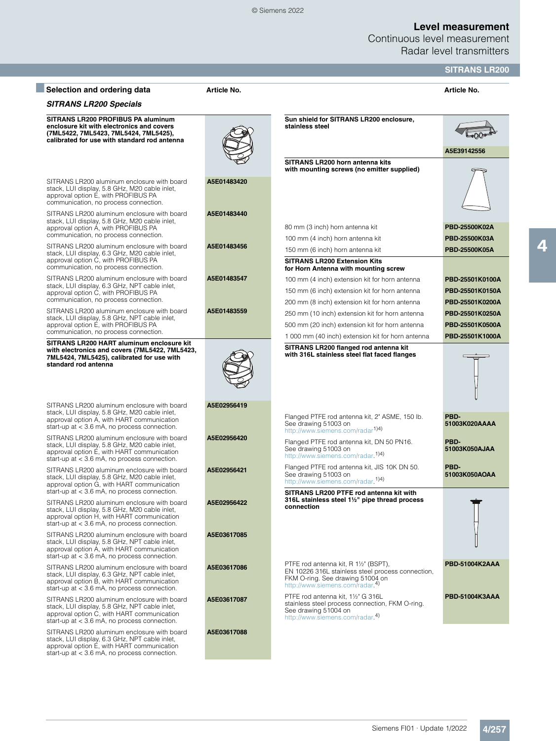Continuous level measurement Radar level transmitters

|                                                                                                                                                                                                                                                                              |                            |                                                                                                                                                                                                                                   | <b>SITRANS LR200</b>                                  |
|------------------------------------------------------------------------------------------------------------------------------------------------------------------------------------------------------------------------------------------------------------------------------|----------------------------|-----------------------------------------------------------------------------------------------------------------------------------------------------------------------------------------------------------------------------------|-------------------------------------------------------|
| Selection and ordering data                                                                                                                                                                                                                                                  | Article No.                |                                                                                                                                                                                                                                   | Article No.                                           |
| <b>SITRANS LR200 Specials</b>                                                                                                                                                                                                                                                |                            |                                                                                                                                                                                                                                   |                                                       |
| SITRANS LR200 PROFIBUS PA aluminum<br>enclosure kit with electronics and covers<br>(7ML5422, 7ML5423, 7ML5424, 7ML5425),<br>calibrated for use with standard rod antenna                                                                                                     |                            | Sun shield for SITRANS LR200 enclosure.<br>stainless steel                                                                                                                                                                        | A5E39142556                                           |
| SITRANS LR200 aluminum enclosure with board<br>stack, LUI display, 5.8 GHz, M20 cable inlet,<br>approval option E, with PROFIBUS PA<br>communication, no process connection.                                                                                                 | A5E01483420                | SITRANS LR200 horn antenna kits<br>with mounting screws (no emitter supplied)                                                                                                                                                     |                                                       |
| SITRANS LR200 aluminum enclosure with board<br>stack, LUI display, 5.8 GHz, M20 cable inlet,<br>approval option A, with PROFIBUS PA<br>communication, no process connection.<br>SITRANS LR200 aluminum enclosure with board<br>stack, LUI display, 6.3 GHz, M20 cable inlet, | A5E01483440<br>A5E01483456 | 80 mm (3 inch) horn antenna kit<br>100 mm (4 inch) horn antenna kit<br>150 mm (6 inch) horn antenna kit                                                                                                                           | PBD-25500K02A<br>PBD-25500K03A<br>PBD-25500K05A       |
| approval option C, with PROFIBUS PA<br>communication, no process connection.<br>SITRANS LR200 aluminum enclosure with board<br>stack, LUI display, 6.3 GHz, NPT cable inlet,<br>approval option C, with PROFIBUS PA<br>communication, no process connection.                 | A5E01483547                | <b>SITRANS LR200 Extension Kits</b><br>for Horn Antenna with mounting screw<br>100 mm (4 inch) extension kit for horn antenna<br>150 mm (6 inch) extension kit for horn antenna<br>200 mm (8 inch) extension kit for horn antenna | PBD-25501K0100A<br>PBD-25501K0150A<br>PBD-25501K0200A |
| SITRANS LR200 aluminum enclosure with board<br>stack, LUI display, 5.8 GHz, NPT cable inlet,<br>approval option E, with PROFIBUS PA<br>communication, no process connection.<br>SITRANS LR200 HART aluminum enclosure kit                                                    | A5E01483559                | 250 mm (10 inch) extension kit for horn antenna<br>500 mm (20 inch) extension kit for horn antenna<br>1 000 mm (40 inch) extension kit for horn antenna                                                                           | PBD-25501K0250A<br>PBD-25501K0500A<br>PBD-25501K1000A |
| with electronics and covers (7ML5422, 7ML5423,<br>7ML5424, 7ML5425), calibrated for use with<br>standard rod antenna                                                                                                                                                         | A5E02956419                | SITRANS LR200 flanged rod antenna kit<br>with 316L stainless steel flat faced flanges                                                                                                                                             |                                                       |
| SITRANS LR200 aluminum enclosure with board<br>stack, LUI display, 5.8 GHz, M20 cable inlet,<br>approval option A, with HART communication<br>start-up at $<$ 3.6 mA, no process connection.                                                                                 |                            | Flanged PTFE rod antenna kit, 2" ASME, 150 lb.<br>See drawing 51003 on<br>http://www.siemens.com/radar <sup>1)4)</sup>                                                                                                            | PBD-<br>51003K020AAAA                                 |
| SITRANS LR200 aluminum enclosure with board<br>stack, LUI display, 5.8 GHz, M20 cable inlet,<br>approval option E, with HART communication<br>start-up at $<$ 3.6 mA, no process connection.                                                                                 | A5E02956420                | Flanged PTFE rod antenna kit, DN 50 PN16.<br>See drawing 51003 on<br>http://www.siemens.com/radar. <sup>1)4)</sup>                                                                                                                | PBD-<br>51003K050AJAA                                 |
| SITRANS LR200 aluminum enclosure with board<br>stack, LUI display, 5.8 GHz, M20 cable inlet,<br>approval option G, with HART communication<br>start-up at $<$ 3.6 mA, no process connection.                                                                                 | A5E02956421                | Flanged PTFE rod antenna kit, JIS 10K DN 50.<br>See drawing 51003 on<br>http://www.siemens.com/radar. <sup>1)4)</sup><br>SITRANS LR200 PTFE rod antenna kit with                                                                  | PBD-<br>51003K050AOAA                                 |
| SITRANS LR200 aluminum enclosure with board<br>stack, LUI display, 5.8 GHz, M20 cable inlet,<br>approval option H, with HART communication<br>start-up at $<$ 3.6 mA, no process connection.                                                                                 | A5E02956422                | 316L stainless steel 1½" pipe thread process<br>connection                                                                                                                                                                        |                                                       |
| SITRANS LR200 aluminum enclosure with board<br>stack, LUI display, 5.8 GHz, NPT cable inlet,<br>approval option A, with HART communication<br>start-up at $<$ 3.6 mA, no process connection.                                                                                 | A5E03617085                |                                                                                                                                                                                                                                   |                                                       |
| SITRANS LR200 aluminum enclosure with board<br>stack, LUI display, 6.3 GHz, NPT cable inlet,<br>approval option B, with HART communication<br>start-up at $<$ 3.6 mA, no process connection.                                                                                 | A5E03617086                | PTFE rod antenna kit, R 11/2" (BSPT),<br>EN 10226 316L stainless steel process connection,<br>FKM O-ring. See drawing 51004 on<br>http://www.siemens.com/radar. <sup>4)</sup>                                                     | PBD-51004K2AAA                                        |
| SITRANS LR200 aluminum enclosure with board<br>stack, LUI display, 5.8 GHz, NPT cable inlet,<br>approval option C, with HART communication<br>start-up at $<$ 3.6 mA, no process connection.                                                                                 | A5E03617087                | PTFE rod antenna kit, 11/2" G 316L<br>stainless steel process connection, FKM O-ring.<br>See drawing 51004 on<br>http://www.siemens.com/radar. <sup>4)</sup>                                                                      | PBD-51004K3AAA                                        |
| SITRANS LR200 aluminum enclosure with board<br>stack, LUI display, 6.3 GHz, NPT cable inlet,<br>approval option E, with HART communication<br>start-up at $<$ 3.6 mA, no process connection.                                                                                 | A5E03617088                |                                                                                                                                                                                                                                   |                                                       |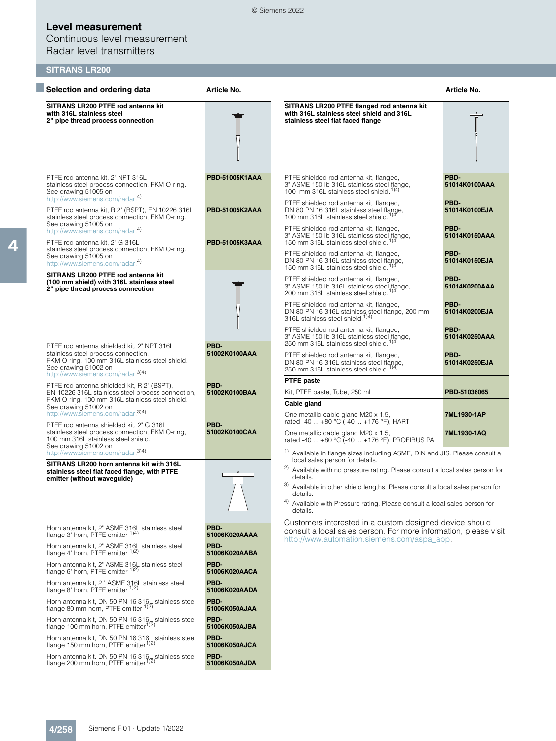Continuous level measurement Radar level transmitters

## **SITRANS LR200**

| Selection and ordering data                                                                                                                                                                     | Article No.           |                                                                                                                                                                                                                         | Article No.                   |
|-------------------------------------------------------------------------------------------------------------------------------------------------------------------------------------------------|-----------------------|-------------------------------------------------------------------------------------------------------------------------------------------------------------------------------------------------------------------------|-------------------------------|
| SITRANS LR200 PTFE rod antenna kit<br>with 316L stainless steel<br>2" pipe thread process connection                                                                                            |                       | SITRANS LR200 PTFE flanged rod antenna kit<br>with 316L stainless steel shield and 316L<br>stainless steel flat faced flange                                                                                            |                               |
| PTFE rod antenna kit, 2" NPT 316L<br>stainless steel process connection, FKM O-ring.<br>See drawing 51005 on<br>http://www.siemens.com/radar. <sup>4)</sup>                                     | PBD-51005K1AAA        | PTFE shielded rod antenna kit, flanged,<br>3" ASME 150 lb 316L stainless steel flange,<br>100 mm 316L stainless steel shield. <sup>1)4)</sup>                                                                           | PBD-<br>51014K0100AAA         |
| PTFE rod antenna kit, R 2" (BSPT), EN 10226 316L<br>stainless steel process connection, FKM O-ring.<br>See drawing 51005 on                                                                     | PBD-51005K2AAA        | PTFE shielded rod antenna kit, flanged,<br>DN 80 PN 16 316L stainless steel flange,<br>100 mm 316L stainless steel shield. <sup>1)4)</sup>                                                                              | PBD-<br>51014K0100EJA         |
| http://www.siemens.com/radar. <sup>4)</sup><br>PTFE rod antenna kit, 2" G 316L<br>stainless steel process connection, FKM O-ring.                                                               | PBD-51005K3AAA        | PTFE shielded rod antenna kit, flanged,<br>3" ASME 150 lb 316L stainless steel flange,<br>150 mm 316L stainless steel shield. <sup>1)4)</sup><br>PTFE shielded rod antenna kit, flanged,                                | PBD-<br>51014K0150AAA<br>PBD- |
| See drawing 51005 on<br>http://www.siemens.com/radar. <sup>4)</sup>                                                                                                                             |                       | DN 80 PN 16 316L stainless steel flange,<br>150 mm 316L stainless steel shield. <sup>1)4)</sup>                                                                                                                         | 51014K0150EJA                 |
| SITRANS LR200 PTFE rod antenna kit<br>(100 mm shield) with 316L stainless steel<br>2" pipe thread process connection                                                                            |                       | PTFE shielded rod antenna kit, flanged,<br>3" ASME 150 lb 316L stainless steel flange,<br>200 mm 316L stainless steel shield. <sup>1)4)</sup>                                                                           | PBD-<br>51014K0200AAA         |
|                                                                                                                                                                                                 |                       | PTFE shielded rod antenna kit, flanged,<br>DN 80 PN 16 316L stainless steel flange, 200 mm<br>316L stainless steel shield. <sup>1)4)</sup>                                                                              | PBD-<br>51014K0200EJA         |
| PTFE rod antenna shielded kit, 2" NPT 316L                                                                                                                                                      | PBD-                  | PTFE shielded rod antenna kit, flanged,<br>3" ASME 150 lb 316L stainless steel flange,<br>250 mm 316L stainless steel shield. <sup>1)4)</sup>                                                                           | PBD-<br>51014K0250AAA         |
| stainless steel process connection,<br>FKM O-ring, 100 mm 316L stainless steel shield.<br>See drawing 51002 on<br>http://www.siemens.com/radar.3)4)                                             | 51002K0100AAA         | PTFE shielded rod antenna kit, flanged,<br>DN 80 PN 16 316L stainless steel flange,<br>250 mm 316L stainless steel shield. <sup>1)4)</sup>                                                                              | PBD-<br>51014K0250EJA         |
| PTFE rod antenna shielded kit, R 2" (BSPT),<br>EN 10226 316L stainless steel process connection,                                                                                                | PBD-<br>51002K0100BAA | <b>PTFE paste</b><br>Kit, PTFE paste, Tube, 250 mL                                                                                                                                                                      | PBD-51036065                  |
| FKM O-ring, 100 mm 316L stainless steel shield.<br>See drawing 51002 on<br>http://www.siemens.com/radar. <sup>3)4)</sup>                                                                        |                       | Cable gland<br>One metallic cable gland M20 x 1.5,                                                                                                                                                                      | 7ML1930-1AP                   |
| PTFE rod antenna shielded kit, 2" G 316L<br>stainless steel process connection, FKM O-ring,<br>100 mm 316L stainless steel shield.<br>See drawing 51002 on<br>http://www.siemens.com/radar.3)4) | PBD-<br>51002K0100CAA | rated -40  +80 °C (-40  +176 °F), HART<br>One metallic cable gland M20 x 1.5,<br>rated -40  +80 °C (-40  +176 °F), PROFIBUS PA<br><sup>1)</sup> Available in flange sizes including ASME, DIN and JIS. Please consult a | 7ML1930-1AQ                   |
| SITRANS LR200 horn antenna kit with 316L<br>stainless steel flat faced flange, with PTFE                                                                                                        |                       | local sales person for details.<br><sup>2)</sup> Available with no pressure rating. Please consult a local sales person for                                                                                             |                               |
| emitter (without waveguide)                                                                                                                                                                     |                       | details.<br>3) Available in other shield lengths. Please consult a local sales person for<br>details.                                                                                                                   |                               |
|                                                                                                                                                                                                 |                       | Available with Pressure rating. Please consult a local sales person for<br>details.                                                                                                                                     |                               |
| Horn antenna kit, 2" ASME 316L stainless steel<br>flange 3" horn. PTFE emitter 1)4)                                                                                                             | PBD-<br>51006K020AAAA | Customers interested in a custom designed device should<br>consult a local sales person. For more information, please visit<br>http://www.automation.siemens.com/aspa_app.                                              |                               |
| Horn antenna kit, 2" ASME 316L stainless steel<br>flange 4" horn, PTFE emitter 1)2)                                                                                                             | PBD-<br>51006K020AABA |                                                                                                                                                                                                                         |                               |
| Horn antenna kit, 2" ASME 316L stainless steel<br>flange 6" horn, PTFE emitter 1) <sup>2</sup>                                                                                                  | PBD-<br>51006K020AACA |                                                                                                                                                                                                                         |                               |
| Horn antenna kit, 2 " ASME 316L stainless steel<br>flange 8" horn, PTFE emitter <sup>1)2)</sup>                                                                                                 | PBD-<br>51006K020AADA |                                                                                                                                                                                                                         |                               |
| Horn antenna kit, DN 50 PN 16 3161, stainless steel<br>flange 80 mm horn, PTFE emitter 1)2)                                                                                                     | PBD-<br>51006K050AJAA |                                                                                                                                                                                                                         |                               |
| Horn antenna kit, DN 50 PN 16 316L stainless steel<br>flange 100 mm horn, PTFE emitter <sup>1)2)</sup>                                                                                          | PBD-<br>51006K050AJBA |                                                                                                                                                                                                                         |                               |
| Horn antenna kit, DN 50 PN 16 316L stainless steel<br>flange 150 mm horn, PTFE emitter <sup>1)2)</sup>                                                                                          | PBD-<br>51006K050AJCA |                                                                                                                                                                                                                         |                               |
| Horn antenna kit, DN 50 PN 16 316L stainless steel<br>flange 200 mm horn, PTFE emitter <sup>1)2)</sup>                                                                                          | PBD-<br>51006K050AJDA |                                                                                                                                                                                                                         |                               |

© Siemens 2022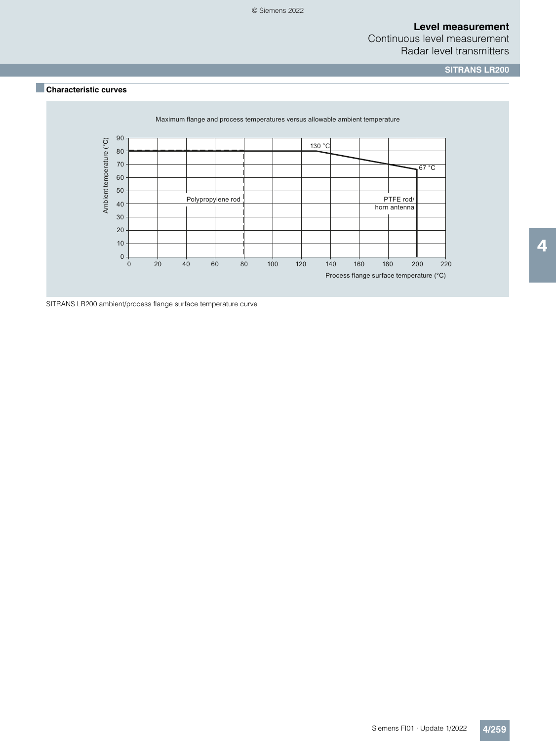## Continuous level measurement Radar level transmitters

**SITRANS LR200**

## ■**Characteristic curves**



SITRANS LR200 ambient/process flange surface temperature curve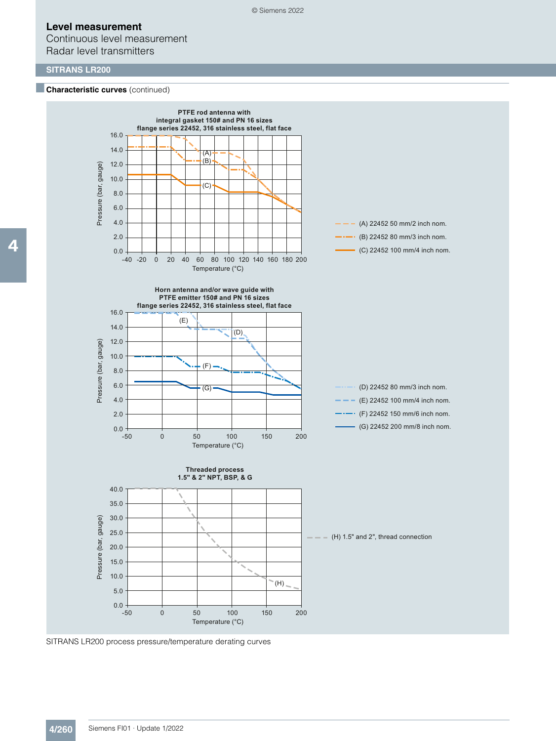Continuous level measurement Radar level transmitters

### **SITRANS LR200**

#### **Characteristic curves** (continued)



SITRANS LR200 process pressure/temperature derating curves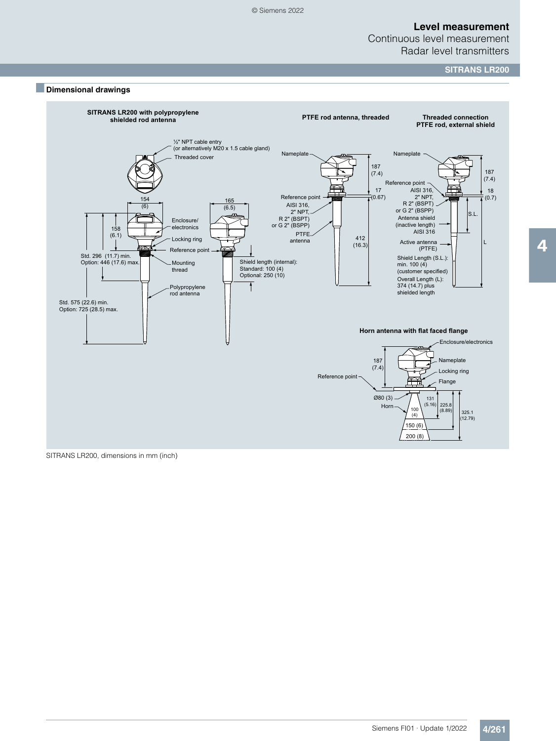Continuous level measurement Radar level transmitters

**SITRANS LR200**



SITRANS LR200, dimensions in mm (inch)